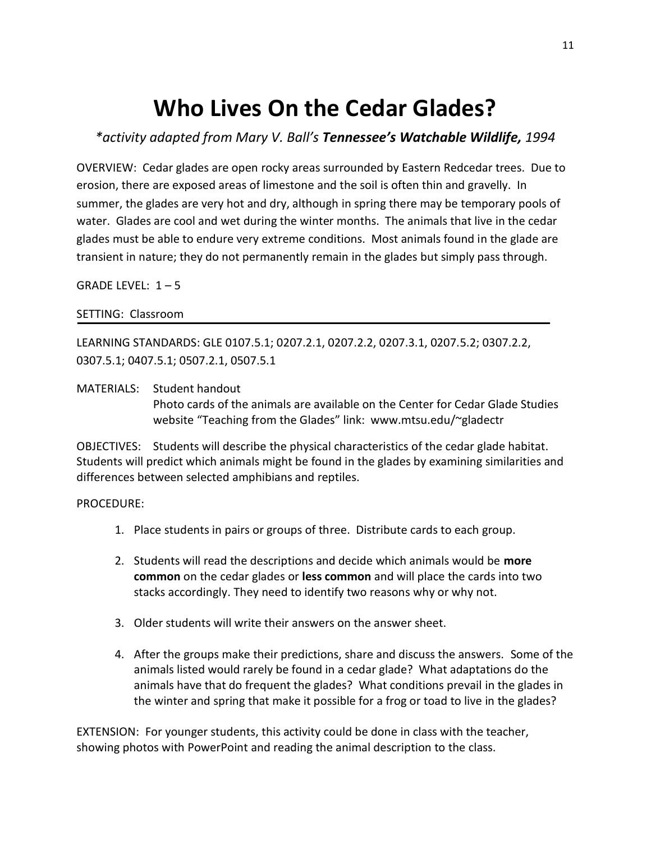## **Who Lives On the Cedar Glades?**

*\*activity adapted from Mary V. Ball's Tennessee's Watchable Wildlife, 1994*

OVERVIEW: Cedar glades are open rocky areas surrounded by Eastern Redcedar trees. Due to erosion, there are exposed areas of limestone and the soil is often thin and gravelly. In summer, the glades are very hot and dry, although in spring there may be temporary pools of water. Glades are cool and wet during the winter months. The animals that live in the cedar glades must be able to endure very extreme conditions. Most animals found in the glade are transient in nature; they do not permanently remain in the glades but simply pass through.

GRADE LEVEL:  $1 - 5$ 

## SETTING: Classroom

LEARNING STANDARDS: GLE 0107.5.1; 0207.2.1, 0207.2.2, 0207.3.1, 0207.5.2; 0307.2.2, 0307.5.1; 0407.5.1; 0507.2.1, 0507.5.1

MATERIALS: Student handout Photo cards of the animals are available on the Center for Cedar Glade Studies website "Teaching from the Glades" link: www.mtsu.edu/~gladectr

OBJECTIVES: Students will describe the physical characteristics of the cedar glade habitat. Students will predict which animals might be found in the glades by examining similarities and differences between selected amphibians and reptiles.

PROCEDURE:

- 1. Place students in pairs or groups of three. Distribute cards to each group.
- 2. Students will read the descriptions and decide which animals would be **more common** on the cedar glades or **less common** and will place the cards into two stacks accordingly. They need to identify two reasons why or why not.
- 3. Older students will write their answers on the answer sheet.
- 4. After the groups make their predictions, share and discuss the answers. Some of the animals listed would rarely be found in a cedar glade? What adaptations do the animals have that do frequent the glades? What conditions prevail in the glades in the winter and spring that make it possible for a frog or toad to live in the glades?

EXTENSION: For younger students, this activity could be done in class with the teacher, showing photos with PowerPoint and reading the animal description to the class.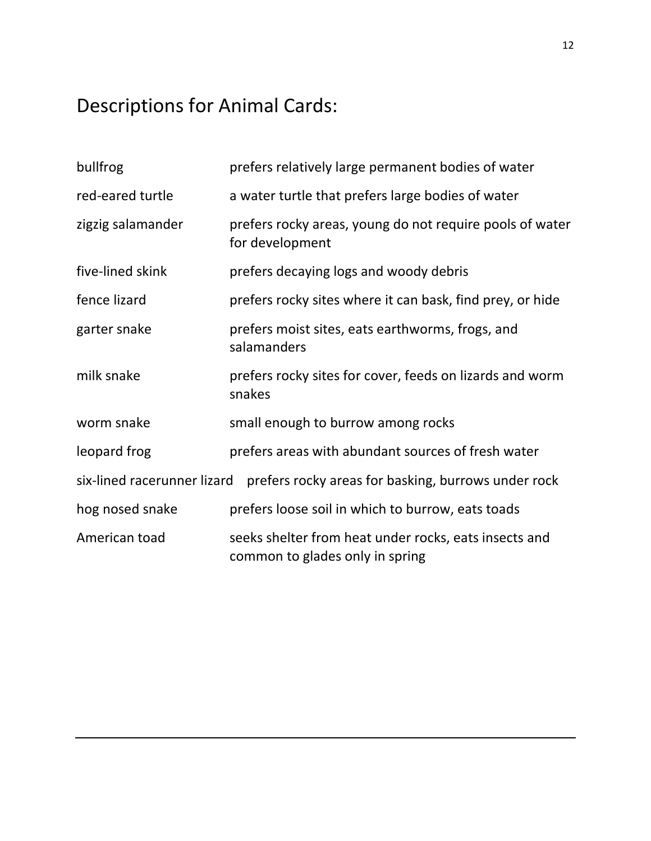## Descriptions for Animal Cards:

| bullfrog                                                                           | prefers relatively large permanent bodies of water                                       |  |
|------------------------------------------------------------------------------------|------------------------------------------------------------------------------------------|--|
| red-eared turtle                                                                   | a water turtle that prefers large bodies of water                                        |  |
| zigzig salamander                                                                  | prefers rocky areas, young do not require pools of water<br>for development              |  |
| five-lined skink                                                                   | prefers decaying logs and woody debris                                                   |  |
| fence lizard                                                                       | prefers rocky sites where it can bask, find prey, or hide                                |  |
| garter snake                                                                       | prefers moist sites, eats earthworms, frogs, and<br>salamanders                          |  |
| milk snake                                                                         | prefers rocky sites for cover, feeds on lizards and worm<br>snakes                       |  |
| worm snake                                                                         | small enough to burrow among rocks                                                       |  |
| leopard frog                                                                       | prefers areas with abundant sources of fresh water                                       |  |
| six-lined racerunner lizard<br>prefers rocky areas for basking, burrows under rock |                                                                                          |  |
| hog nosed snake                                                                    | prefers loose soil in which to burrow, eats toads                                        |  |
| American toad                                                                      | seeks shelter from heat under rocks, eats insects and<br>common to glades only in spring |  |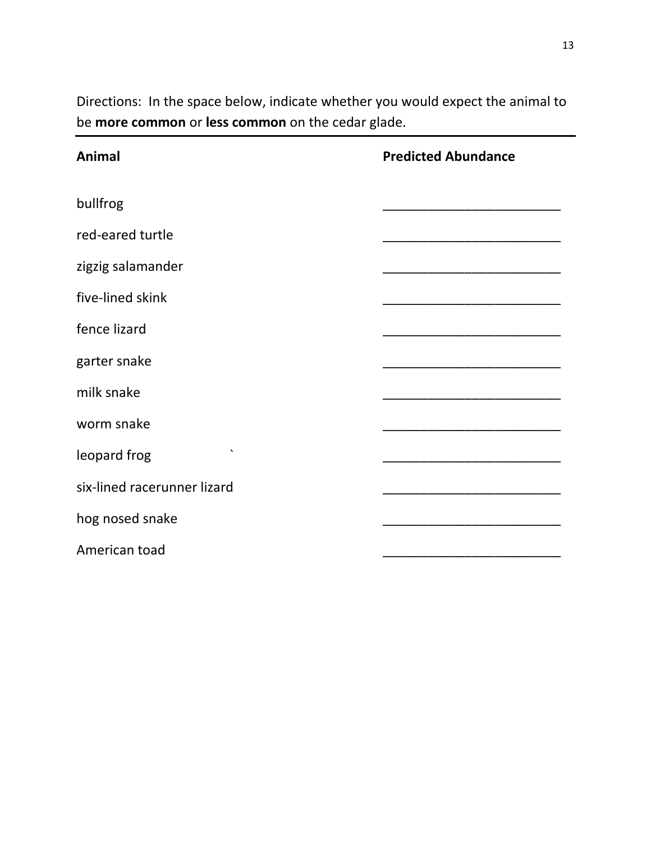| Animal                      | <b>Predicted Abundance</b> |
|-----------------------------|----------------------------|
| bullfrog                    |                            |
| red-eared turtle            |                            |
| zigzig salamander           |                            |
| five-lined skink            |                            |
| fence lizard                |                            |
| garter snake                |                            |
| milk snake                  |                            |
| worm snake                  |                            |
| $\cdot$<br>leopard frog     |                            |
| six-lined racerunner lizard |                            |
| hog nosed snake             |                            |
| American toad               |                            |

Directions: In the space below, indicate whether you would expect the animal to be **more common** or **less common** on the cedar glade.